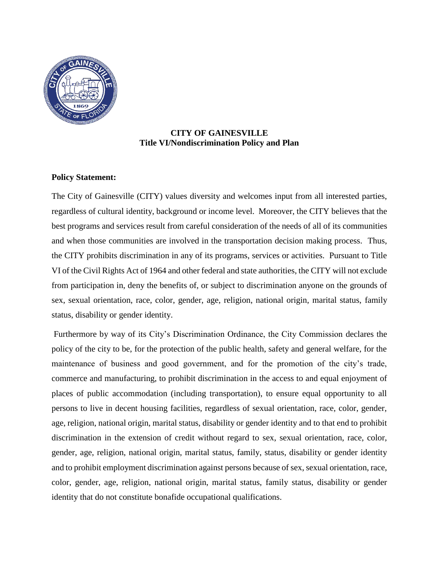

### **CITY OF GAINESVILLE Title VI/Nondiscrimination Policy and Plan**

### **Policy Statement:**

The City of Gainesville (CITY) values diversity and welcomes input from all interested parties, regardless of cultural identity, background or income level. Moreover, the CITY believes that the best programs and services result from careful consideration of the needs of all of its communities and when those communities are involved in the transportation decision making process. Thus, the CITY prohibits discrimination in any of its programs, services or activities. Pursuant to Title VI of the Civil Rights Act of 1964 and other federal and state authorities, the CITY will not exclude from participation in, deny the benefits of, or subject to discrimination anyone on the grounds of sex, sexual orientation, race, color, gender, age, religion, national origin, marital status, family status, disability or gender identity.

Furthermore by way of its City's Discrimination Ordinance, the City Commission declares the policy of the city to be, for the protection of the public health, safety and general welfare, for the maintenance of business and good government, and for the promotion of the city's trade, commerce and manufacturing, to prohibit discrimination in the access to and equal enjoyment of places of public accommodation (including transportation), to ensure equal opportunity to all persons to live in decent housing facilities, regardless of sexual orientation, race, color, gender, age, religion, national origin, marital status, disability or gender identity and to that end to prohibit discrimination in the extension of credit without regard to sex, sexual orientation, race, color, gender, age, religion, national origin, marital status, family, status, disability or gender identity and to prohibit employment discrimination against persons because of sex, sexual orientation, race, color, gender, age, religion, national origin, marital status, family status, disability or gender identity that do not constitute bonafide occupational qualifications.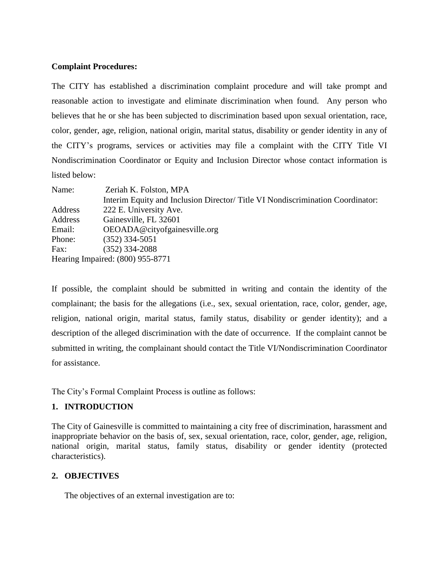#### **Complaint Procedures:**

The CITY has established a discrimination complaint procedure and will take prompt and reasonable action to investigate and eliminate discrimination when found. Any person who believes that he or she has been subjected to discrimination based upon sexual orientation, race, color, gender, age, religion, national origin, marital status, disability or gender identity in any of the CITY's programs, services or activities may file a complaint with the CITY Title VI Nondiscrimination Coordinator or Equity and Inclusion Director whose contact information is listed below:

| Name:                            | Zeriah K. Folston, MPA                                                         |  |
|----------------------------------|--------------------------------------------------------------------------------|--|
|                                  | Interim Equity and Inclusion Director/ Title VI Nondiscrimination Coordinator: |  |
| Address                          | 222 E. University Ave.                                                         |  |
| Address                          | Gainesville, FL 32601                                                          |  |
| Email:                           | OEOADA@cityofgainesville.org                                                   |  |
| Phone:                           | $(352)$ 334-5051                                                               |  |
| Fax:                             | $(352)$ 334-2088                                                               |  |
| Hearing Impaired: (800) 955-8771 |                                                                                |  |

If possible, the complaint should be submitted in writing and contain the identity of the complainant; the basis for the allegations (i.e., sex, sexual orientation, race, color, gender, age, religion, national origin, marital status, family status, disability or gender identity); and a description of the alleged discrimination with the date of occurrence. If the complaint cannot be submitted in writing, the complainant should contact the Title VI/Nondiscrimination Coordinator for assistance.

The City's Formal Complaint Process is outline as follows:

# **1. INTRODUCTION**

The City of Gainesville is committed to maintaining a city free of discrimination, harassment and inappropriate behavior on the basis of, sex, sexual orientation, race, color, gender, age, religion, national origin, marital status, family status, disability or gender identity (protected characteristics).

# **2. OBJECTIVES**

The objectives of an external investigation are to: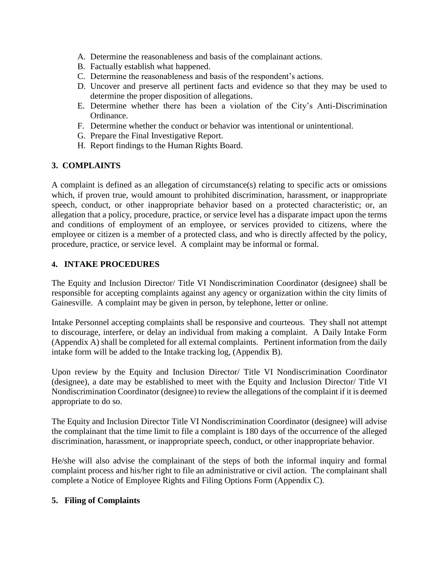- A. Determine the reasonableness and basis of the complainant actions.
- B. Factually establish what happened.
- C. Determine the reasonableness and basis of the respondent's actions.
- D. Uncover and preserve all pertinent facts and evidence so that they may be used to determine the proper disposition of allegations.
- E. Determine whether there has been a violation of the City's Anti-Discrimination Ordinance.
- F. Determine whether the conduct or behavior was intentional or unintentional.
- G. Prepare the Final Investigative Report.
- H. Report findings to the Human Rights Board.

# **3. COMPLAINTS**

A complaint is defined as an allegation of circumstance(s) relating to specific acts or omissions which, if proven true, would amount to prohibited discrimination, harassment, or inappropriate speech, conduct, or other inappropriate behavior based on a protected characteristic; or, an allegation that a policy, procedure, practice, or service level has a disparate impact upon the terms and conditions of employment of an employee, or services provided to citizens, where the employee or citizen is a member of a protected class, and who is directly affected by the policy, procedure, practice, or service level. A complaint may be informal or formal.

### **4. INTAKE PROCEDURES**

The Equity and Inclusion Director/ Title VI Nondiscrimination Coordinator (designee) shall be responsible for accepting complaints against any agency or organization within the city limits of Gainesville. A complaint may be given in person, by telephone, letter or online.

Intake Personnel accepting complaints shall be responsive and courteous. They shall not attempt to discourage, interfere, or delay an individual from making a complaint. A Daily Intake Form (Appendix A) shall be completed for all external complaints. Pertinent information from the daily intake form will be added to the Intake tracking log, (Appendix B).

Upon review by the Equity and Inclusion Director/ Title VI Nondiscrimination Coordinator (designee), a date may be established to meet with the Equity and Inclusion Director/ Title VI Nondiscrimination Coordinator (designee) to review the allegations of the complaint if it is deemed appropriate to do so.

The Equity and Inclusion Director Title VI Nondiscrimination Coordinator (designee) will advise the complainant that the time limit to file a complaint is 180 days of the occurrence of the alleged discrimination, harassment, or inappropriate speech, conduct, or other inappropriate behavior.

He/she will also advise the complainant of the steps of both the informal inquiry and formal complaint process and his/her right to file an administrative or civil action. The complainant shall complete a Notice of Employee Rights and Filing Options Form (Appendix C).

#### **5. Filing of Complaints**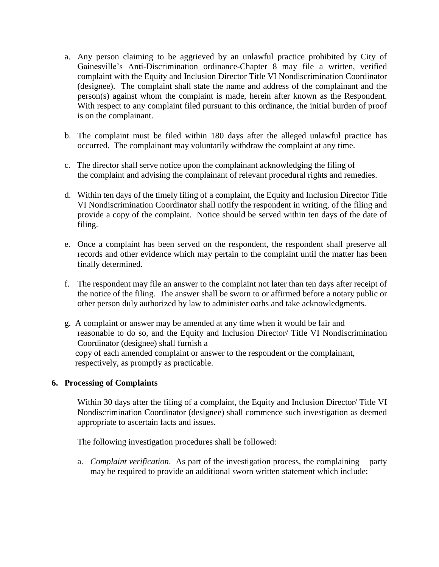- a. Any person claiming to be aggrieved by an unlawful practice prohibited by City of Gainesville's Anti-Discrimination ordinance-Chapter 8 may file a written, verified complaint with the Equity and Inclusion Director Title VI Nondiscrimination Coordinator (designee). The complaint shall state the name and address of the complainant and the person(s) against whom the complaint is made, herein after known as the Respondent. With respect to any complaint filed pursuant to this ordinance, the initial burden of proof is on the complainant.
- b. The complaint must be filed within 180 days after the alleged unlawful practice has occurred. The complainant may voluntarily withdraw the complaint at any time.
- c. The director shall serve notice upon the complainant acknowledging the filing of the complaint and advising the complainant of relevant procedural rights and remedies.
- d. Within ten days of the timely filing of a complaint, the Equity and Inclusion Director Title VI Nondiscrimination Coordinator shall notify the respondent in writing, of the filing and provide a copy of the complaint. Notice should be served within ten days of the date of filing.
- e. Once a complaint has been served on the respondent, the respondent shall preserve all records and other evidence which may pertain to the complaint until the matter has been finally determined.
- f. The respondent may file an answer to the complaint not later than ten days after receipt of the notice of the filing. The answer shall be sworn to or affirmed before a notary public or other person duly authorized by law to administer oaths and take acknowledgments.
- g. A complaint or answer may be amended at any time when it would be fair and reasonable to do so, and the Equity and Inclusion Director/ Title VI Nondiscrimination Coordinator (designee) shall furnish a copy of each amended complaint or answer to the respondent or the complainant, respectively, as promptly as practicable.

#### **6. Processing of Complaints**

Within 30 days after the filing of a complaint, the Equity and Inclusion Director/ Title VI Nondiscrimination Coordinator (designee) shall commence such investigation as deemed appropriate to ascertain facts and issues.

The following investigation procedures shall be followed:

a. *Complaint verification*. As part of the investigation process, the complaining party may be required to provide an additional sworn written statement which include: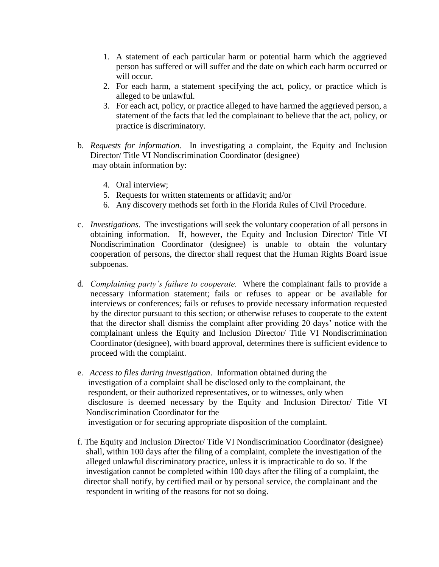- 1. A statement of each particular harm or potential harm which the aggrieved person has suffered or will suffer and the date on which each harm occurred or will occur.
- 2. For each harm, a statement specifying the act, policy, or practice which is alleged to be unlawful.
- 3. For each act, policy, or practice alleged to have harmed the aggrieved person, a statement of the facts that led the complainant to believe that the act, policy, or practice is discriminatory.
- b. *Requests for information.* In investigating a complaint, the Equity and Inclusion Director/ Title VI Nondiscrimination Coordinator (designee) may obtain information by:
	- 4. Oral interview;
	- 5. Requests for written statements or affidavit; and/or
	- 6. Any discovery methods set forth in the Florida Rules of Civil Procedure.
- c. *Investigations.* The investigations will seek the voluntary cooperation of all persons in obtaining information. If, however, the Equity and Inclusion Director/ Title VI Nondiscrimination Coordinator (designee) is unable to obtain the voluntary cooperation of persons, the director shall request that the Human Rights Board issue subpoenas.
- d. *Complaining party's failure to cooperate.* Where the complainant fails to provide a necessary information statement; fails or refuses to appear or be available for interviews or conferences; fails or refuses to provide necessary information requested by the director pursuant to this section; or otherwise refuses to cooperate to the extent that the director shall dismiss the complaint after providing 20 days' notice with the complainant unless the Equity and Inclusion Director/ Title VI Nondiscrimination Coordinator (designee), with board approval, determines there is sufficient evidence to proceed with the complaint.
- e. *Access to files during investigation*. Information obtained during the investigation of a complaint shall be disclosed only to the complainant, the respondent, or their authorized representatives, or to witnesses, only when disclosure is deemed necessary by the Equity and Inclusion Director/ Title VI Nondiscrimination Coordinator for the investigation or for securing appropriate disposition of the complaint.
- f. The Equity and Inclusion Director/ Title VI Nondiscrimination Coordinator (designee) shall, within 100 days after the filing of a complaint, complete the investigation of the alleged unlawful discriminatory practice, unless it is impracticable to do so. If the investigation cannot be completed within 100 days after the filing of a complaint, the director shall notify, by certified mail or by personal service, the complainant and the respondent in writing of the reasons for not so doing.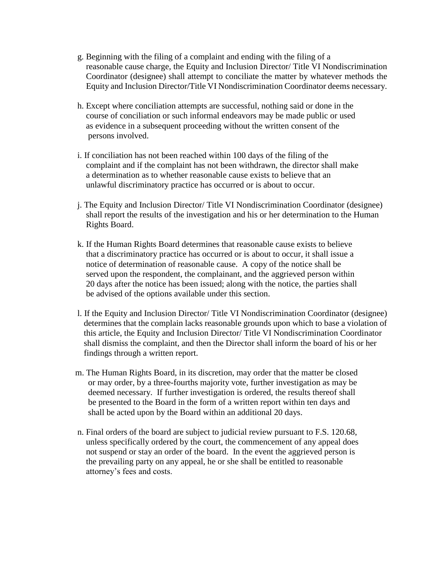- g. Beginning with the filing of a complaint and ending with the filing of a reasonable cause charge, the Equity and Inclusion Director/ Title VI Nondiscrimination Coordinator (designee) shall attempt to conciliate the matter by whatever methods the Equity and Inclusion Director/Title VI Nondiscrimination Coordinator deems necessary.
- h. Except where conciliation attempts are successful, nothing said or done in the course of conciliation or such informal endeavors may be made public or used as evidence in a subsequent proceeding without the written consent of the persons involved.
- i. If conciliation has not been reached within 100 days of the filing of the complaint and if the complaint has not been withdrawn, the director shall make a determination as to whether reasonable cause exists to believe that an unlawful discriminatory practice has occurred or is about to occur.
- j. The Equity and Inclusion Director/ Title VI Nondiscrimination Coordinator (designee) shall report the results of the investigation and his or her determination to the Human Rights Board.
- k. If the Human Rights Board determines that reasonable cause exists to believe that a discriminatory practice has occurred or is about to occur, it shall issue a notice of determination of reasonable cause. A copy of the notice shall be served upon the respondent, the complainant, and the aggrieved person within 20 days after the notice has been issued; along with the notice, the parties shall be advised of the options available under this section.
- l. If the Equity and Inclusion Director/ Title VI Nondiscrimination Coordinator (designee) determines that the complain lacks reasonable grounds upon which to base a violation of this article, the Equity and Inclusion Director/ Title VI Nondiscrimination Coordinator shall dismiss the complaint, and then the Director shall inform the board of his or her findings through a written report.
- m. The Human Rights Board, in its discretion, may order that the matter be closed or may order, by a three-fourths majority vote, further investigation as may be deemed necessary. If further investigation is ordered, the results thereof shall be presented to the Board in the form of a written report within ten days and shall be acted upon by the Board within an additional 20 days.
- n. Final orders of the board are subject to judicial review pursuant to F.S. 120.68, unless specifically ordered by the court, the commencement of any appeal does not suspend or stay an order of the board. In the event the aggrieved person is the prevailing party on any appeal, he or she shall be entitled to reasonable attorney's fees and costs.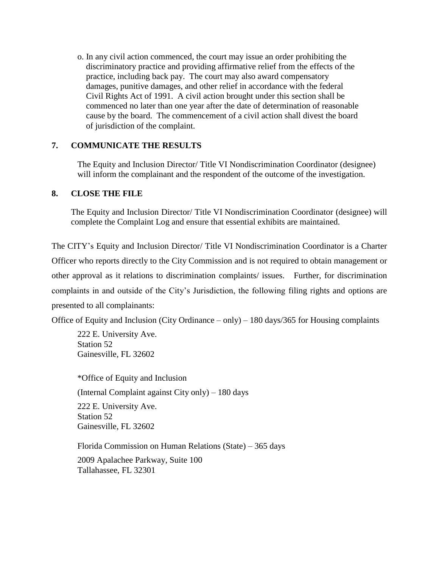o. In any civil action commenced, the court may issue an order prohibiting the discriminatory practice and providing affirmative relief from the effects of the practice, including back pay. The court may also award compensatory damages, punitive damages, and other relief in accordance with the federal Civil Rights Act of 1991. A civil action brought under this section shall be commenced no later than one year after the date of determination of reasonable cause by the board. The commencement of a civil action shall divest the board of jurisdiction of the complaint.

### **7. COMMUNICATE THE RESULTS**

The Equity and Inclusion Director/ Title VI Nondiscrimination Coordinator (designee) will inform the complainant and the respondent of the outcome of the investigation.

#### **8. CLOSE THE FILE**

The Equity and Inclusion Director/ Title VI Nondiscrimination Coordinator (designee) will complete the Complaint Log and ensure that essential exhibits are maintained.

The CITY's Equity and Inclusion Director/ Title VI Nondiscrimination Coordinator is a Charter Officer who reports directly to the City Commission and is not required to obtain management or other approval as it relations to discrimination complaints/ issues. Further, for discrimination complaints in and outside of the City's Jurisdiction, the following filing rights and options are presented to all complainants:

Office of Equity and Inclusion (City Ordinance – only) – 180 days/365 for Housing complaints

222 E. University Ave. Station 52 Gainesville, FL 32602

\*Office of Equity and Inclusion (Internal Complaint against City only) – 180 days 222 E. University Ave. Station 52 Gainesville, FL 32602

Florida Commission on Human Relations (State) – 365 days 2009 Apalachee Parkway, Suite 100 Tallahassee, FL 32301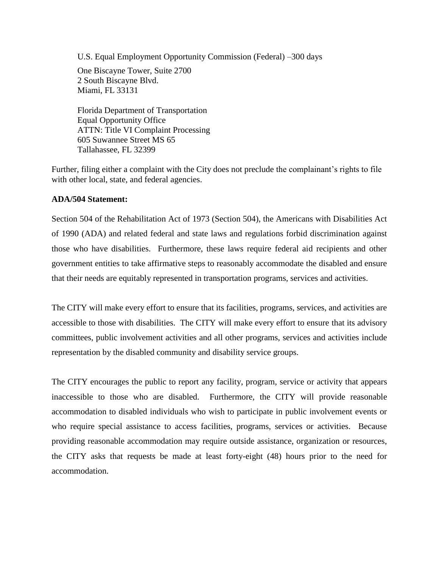U.S. Equal Employment Opportunity Commission (Federal) –300 days

One Biscayne Tower, Suite 2700 2 South Biscayne Blvd. Miami, FL 33131

Florida Department of Transportation Equal Opportunity Office ATTN: Title VI Complaint Processing 605 Suwannee Street MS 65 Tallahassee, FL 32399

Further, filing either a complaint with the City does not preclude the complainant's rights to file with other local, state, and federal agencies.

#### **ADA/504 Statement:**

Section 504 of the Rehabilitation Act of 1973 (Section 504), the Americans with Disabilities Act of 1990 (ADA) and related federal and state laws and regulations forbid discrimination against those who have disabilities. Furthermore, these laws require federal aid recipients and other government entities to take affirmative steps to reasonably accommodate the disabled and ensure that their needs are equitably represented in transportation programs, services and activities.

The CITY will make every effort to ensure that its facilities, programs, services, and activities are accessible to those with disabilities. The CITY will make every effort to ensure that its advisory committees, public involvement activities and all other programs, services and activities include representation by the disabled community and disability service groups.

The CITY encourages the public to report any facility, program, service or activity that appears inaccessible to those who are disabled. Furthermore, the CITY will provide reasonable accommodation to disabled individuals who wish to participate in public involvement events or who require special assistance to access facilities, programs, services or activities. Because providing reasonable accommodation may require outside assistance, organization or resources, the CITY asks that requests be made at least forty-eight (48) hours prior to the need for accommodation.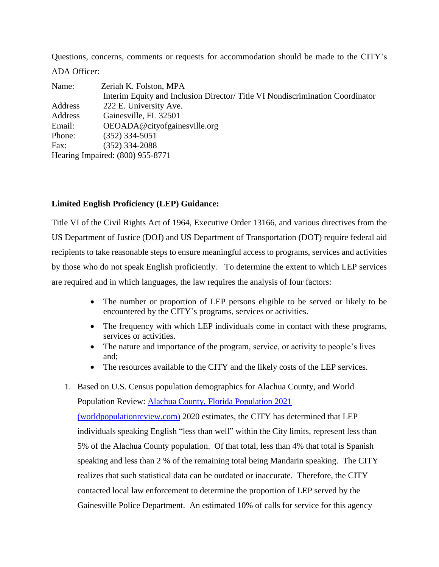Questions, concerns, comments or requests for accommodation should be made to the CITY's ADA Officer:

| Name:                            | Zeriah K. Folston, MPA                                                       |  |
|----------------------------------|------------------------------------------------------------------------------|--|
|                                  | Interim Equity and Inclusion Director/Title VI Nondiscrimination Coordinator |  |
| Address                          | 222 E. University Ave.                                                       |  |
| Address                          | Gainesville, FL 32501                                                        |  |
| Email:                           | OEOADA@cityofgainesville.org                                                 |  |
| Phone:                           | $(352)$ 334-5051                                                             |  |
| Fax:                             | $(352)$ 334-2088                                                             |  |
| Hearing Impaired: (800) 955-8771 |                                                                              |  |

# **Limited English Proficiency (LEP) Guidance:**

Title VI of the Civil Rights Act of 1964, Executive Order 13166, and various directives from the US Department of Justice (DOJ) and US Department of Transportation (DOT) require federal aid recipients to take reasonable steps to ensure meaningful access to programs, services and activities by those who do not speak English proficiently. To determine the extent to which LEP services are required and in which languages, the law requires the analysis of four factors:

- The number or proportion of LEP persons eligible to be served or likely to be encountered by the CITY's programs, services or activities.
- The frequency with which LEP individuals come in contact with these programs, services or activities.
- The nature and importance of the program, service, or activity to people's lives and;
- The resources available to the CITY and the likely costs of the LEP services.
- 1. Based on U.S. Census population demographics for Alachua County, and World Population Review: [Alachua County, Florida Population 2021](https://worldpopulationreview.com/us-counties/fl/alachua-county-population)  [\(worldpopulationreview.com\)](https://worldpopulationreview.com/us-counties/fl/alachua-county-population) 2020 estimates, the CITY has determined that LEP individuals speaking English "less than well" within the City limits, represent less than 5% of the Alachua County population. Of that total, less than 4% that total is Spanish speaking and less than 2 % of the remaining total being Mandarin speaking. The CITY realizes that such statistical data can be outdated or inaccurate. Therefore, the CITY contacted local law enforcement to determine the proportion of LEP served by the Gainesville Police Department. An estimated 10% of calls for service for this agency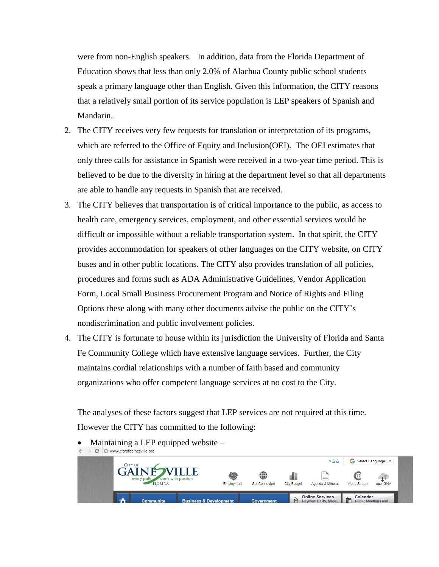were from non-English speakers. In addition, data from the Florida Department of Education shows that less than only 2.0% of Alachua County public school students speak a primary language other than English. Given this information, the CITY reasons that a relatively small portion of its service population is LEP speakers of Spanish and Mandarin.

- 2. The CITY receives very few requests for translation or interpretation of its programs, which are referred to the Office of Equity and Inclusion(OEI). The OEI estimates that only three calls for assistance in Spanish were received in a two-year time period. This is believed to be due to the diversity in hiring at the department level so that all departments are able to handle any requests in Spanish that are received.
- 3. The CITY believes that transportation is of critical importance to the public, as access to health care, emergency services, employment, and other essential services would be difficult or impossible without a reliable transportation system. In that spirit, the CITY provides accommodation for speakers of other languages on the CITY website, on CITY buses and in other public locations. The CITY also provides translation of all policies, procedures and forms such as ADA Administrative Guidelines, Vendor Application Form, Local Small Business Procurement Program and Notice of Rights and Filing Options these along with many other documents advise the public on the CITY's nondiscrimination and public involvement policies.
- 4. The CITY is fortunate to house within its jurisdiction the University of Florida and Santa Fe Community College which have extensive language services. Further, the City maintains cordial relationships with a number of faith based and community organizations who offer competent language services at no cost to the City.

The analyses of these factors suggest that LEP services are not required at this time. However the CITY has committed to the following:

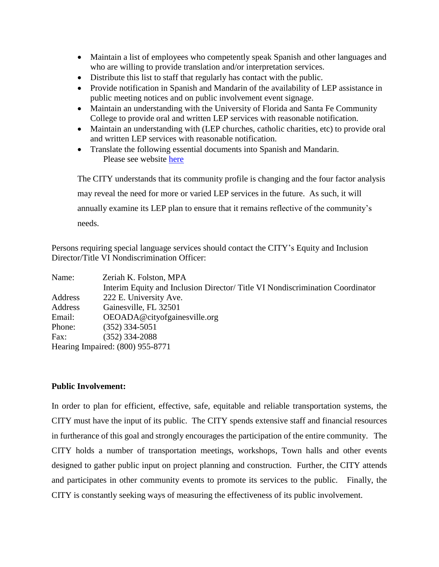- Maintain a list of employees who competently speak Spanish and other languages and who are willing to provide translation and/or interpretation services.
- Distribute this list to staff that regularly has contact with the public.
- Provide notification in Spanish and Mandarin of the availability of LEP assistance in public meeting notices and on public involvement event signage.
- Maintain an understanding with the University of Florida and Santa Fe Community College to provide oral and written LEP services with reasonable notification.
- Maintain an understanding with (LEP churches, catholic charities, etc) to provide oral and written LEP services with reasonable notification.
- Translate the following essential documents into Spanish and Mandarin. Please see website [here](http://www.cityofgainesville.org/OfficeofEqualOpportunity/OEOPoliciesandOrdinances/LimitedEnglishProficiencySupport.aspx)

The CITY understands that its community profile is changing and the four factor analysis may reveal the need for more or varied LEP services in the future. As such, it will annually examine its LEP plan to ensure that it remains reflective of the community's needs.

Persons requiring special language services should contact the CITY's Equity and Inclusion Director/Title VI Nondiscrimination Officer:

| Name:                            | Zeriah K. Folston, MPA                                                       |  |
|----------------------------------|------------------------------------------------------------------------------|--|
|                                  | Interim Equity and Inclusion Director/Title VI Nondiscrimination Coordinator |  |
| Address                          | 222 E. University Ave.                                                       |  |
| Address                          | Gainesville, FL 32501                                                        |  |
| Email:                           | OEOADA@cityofgainesville.org                                                 |  |
| Phone:                           | $(352)$ 334-5051                                                             |  |
| Fax:                             | $(352)$ 334-2088                                                             |  |
| Hearing Impaired: (800) 955-8771 |                                                                              |  |

### **Public Involvement:**

In order to plan for efficient, effective, safe, equitable and reliable transportation systems, the CITY must have the input of its public. The CITY spends extensive staff and financial resources in furtherance of this goal and strongly encourages the participation of the entire community. The CITY holds a number of transportation meetings, workshops, Town halls and other events designed to gather public input on project planning and construction. Further, the CITY attends and participates in other community events to promote its services to the public. Finally, the CITY is constantly seeking ways of measuring the effectiveness of its public involvement.